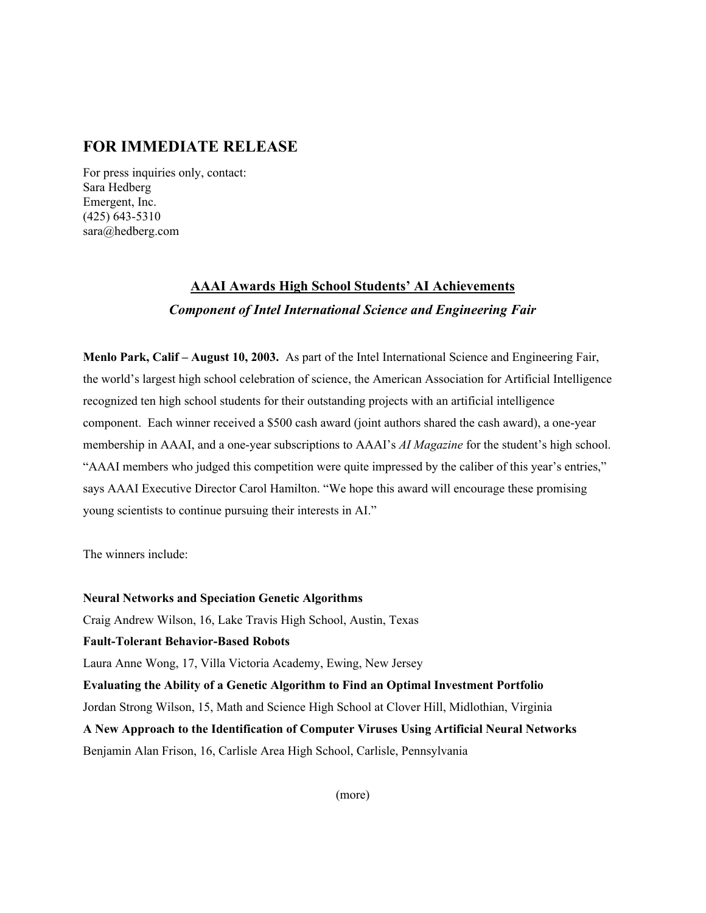### **FOR IMMEDIATE RELEASE**

For press inquiries only, contact: Sara Hedberg Emergent, Inc. (425) 643-5310 sara@hedberg.com

## **AAAI Awards High School Students' AI Achievements** *Component of Intel International Science and Engineering Fair*

**Menlo Park, Calif – August 10, 2003.** As part of the Intel International Science and Engineering Fair, the world's largest high school celebration of science, the American Association for Artificial Intelligence recognized ten high school students for their outstanding projects with an artificial intelligence component. Each winner received a \$500 cash award (joint authors shared the cash award), a one-year membership in AAAI, and a one-year subscriptions to AAAI's *AI Magazine* for the student's high school. "AAAI members who judged this competition were quite impressed by the caliber of this year's entries," says AAAI Executive Director Carol Hamilton. "We hope this award will encourage these promising young scientists to continue pursuing their interests in AI."

The winners include:

**Neural Networks and Speciation Genetic Algorithms** Craig Andrew Wilson, 16, Lake Travis High School, Austin, Texas **Fault-Tolerant Behavior-Based Robots** Laura Anne Wong, 17, Villa Victoria Academy, Ewing, New Jersey **Evaluating the Ability of a Genetic Algorithm to Find an Optimal Investment Portfolio** Jordan Strong Wilson, 15, Math and Science High School at Clover Hill, Midlothian, Virginia **A New Approach to the Identification of Computer Viruses Using Artificial Neural Networks** Benjamin Alan Frison, 16, Carlisle Area High School, Carlisle, Pennsylvania